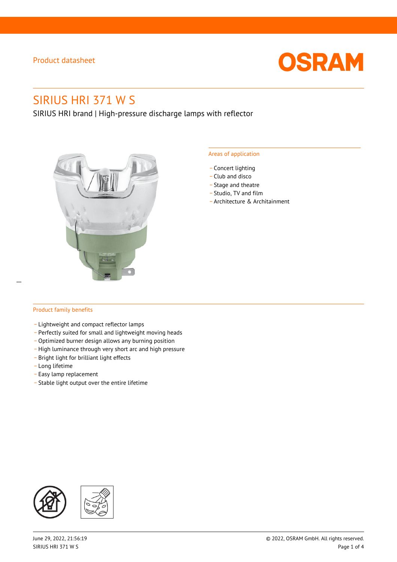

# SIRIUS HRI 371 W S

SIRIUS HRI brand | High-pressure discharge lamps with reflector



#### Areas of application

- Concert lighting
- \_ Club and disco
- Stage and theatre
- \_ Studio, TV and film
- \_ Architecture & Architainment

 $\overline{a}$ 

### Product family benefits

- \_ Lightweight and compact reflector lamps
- \_ Perfectly suited for small and lightweight moving heads
- Optimized burner design allows any burning position
- High luminance through very short arc and high pressure
- \_ Bright light for brilliant light effects
- \_ Long lifetime
- \_ Easy lamp replacement
- \_ Stable light output over the entire lifetime

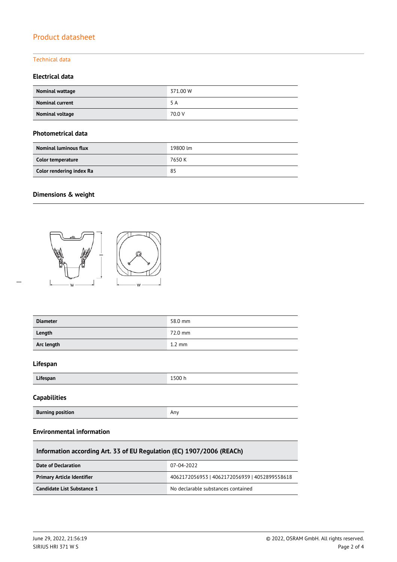# Technical data

## **Electrical data**

| Nominal wattage        | 371.00 W |
|------------------------|----------|
| <b>Nominal current</b> | 5 A      |
| Nominal voltage        | 70.0 V   |

#### **Photometrical data**

| <b>Nominal luminous flux</b> | 19800 lm |
|------------------------------|----------|
| Color temperature            | 7650 K   |
| Color rendering index Ra     | 85       |

# **Dimensions & weight**



| <b>Diameter</b> | 58.0 mm          |
|-----------------|------------------|
| Length          | 72.0 mm          |
| Arc length      | $1.2 \text{ mm}$ |
| $l$ if $l$      |                  |

#### **Lifespan**

 $\overline{a}$ 

| .<br>Lifespan | 1500 h |
|---------------|--------|
|               |        |

### **Capabilities**

| <b>Burning position</b> | Any |
|-------------------------|-----|
|-------------------------|-----|

### **Environmental information**

| Information according Art. 33 of EU Regulation (EC) 1907/2006 (REACh) |                                               |  |  |
|-----------------------------------------------------------------------|-----------------------------------------------|--|--|
| Date of Declaration                                                   | 07-04-2022                                    |  |  |
| <b>Primary Article Identifier</b>                                     | 4062172056953   4062172056939   4052899558618 |  |  |
| Candidate List Substance 1                                            | No declarable substances contained            |  |  |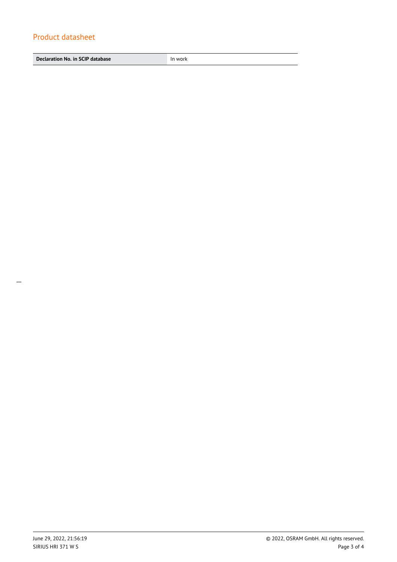**Declaration No. in SCIP database In work**